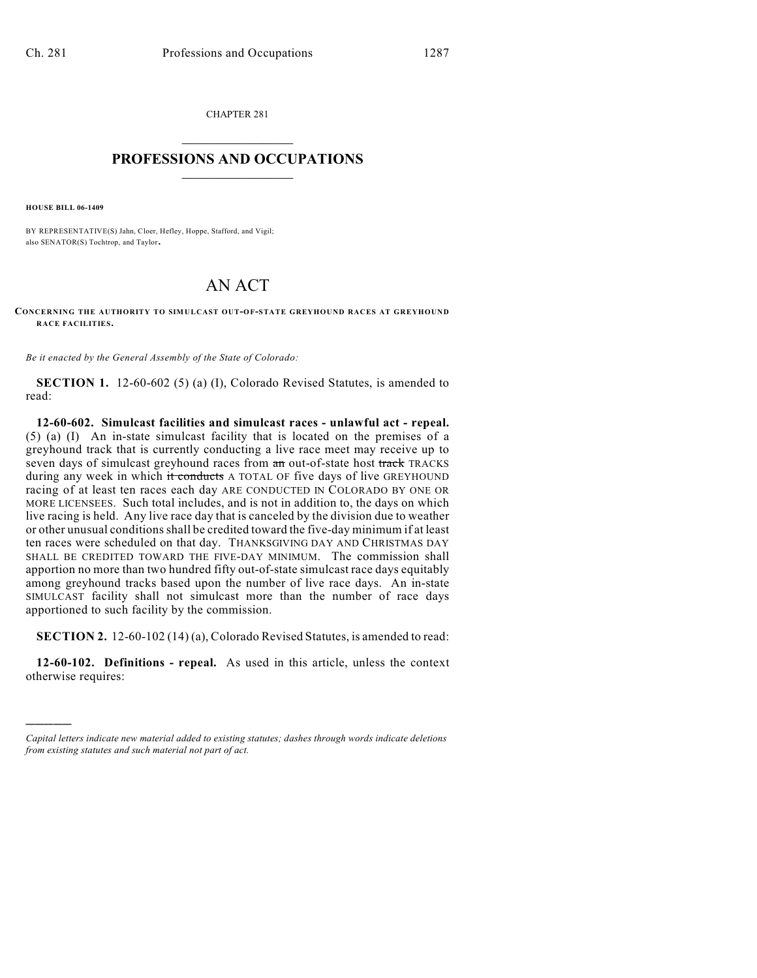CHAPTER 281  $\overline{\phantom{a}}$  . The set of the set of the set of the set of the set of the set of the set of the set of the set of the set of the set of the set of the set of the set of the set of the set of the set of the set of the set o

## **PROFESSIONS AND OCCUPATIONS**  $\frac{1}{2}$  ,  $\frac{1}{2}$  ,  $\frac{1}{2}$  ,  $\frac{1}{2}$  ,  $\frac{1}{2}$  ,  $\frac{1}{2}$

**HOUSE BILL 06-1409**

)))))

BY REPRESENTATIVE(S) Jahn, Cloer, Hefley, Hoppe, Stafford, and Vigil; also SENATOR(S) Tochtrop, and Taylor.

## AN ACT

**CONCERNING THE AUTHORITY TO SIMULCAST OUT-OF-STATE GREYHOUND RACES AT GREYHOUND RACE FACILITIES.**

*Be it enacted by the General Assembly of the State of Colorado:*

**SECTION 1.** 12-60-602 (5) (a) (I), Colorado Revised Statutes, is amended to read:

**12-60-602. Simulcast facilities and simulcast races - unlawful act - repeal.** (5) (a) (I) An in-state simulcast facility that is located on the premises of a greyhound track that is currently conducting a live race meet may receive up to seven days of simulcast greyhound races from  $\frac{a_n}{b_n}$  out-of-state host track TRACKS during any week in which it conducts A TOTAL OF five days of live GREYHOUND racing of at least ten races each day ARE CONDUCTED IN COLORADO BY ONE OR MORE LICENSEES. Such total includes, and is not in addition to, the days on which live racing is held. Any live race day that is canceled by the division due to weather or other unusual conditions shall be credited toward the five-day minimum if at least ten races were scheduled on that day. THANKSGIVING DAY AND CHRISTMAS DAY SHALL BE CREDITED TOWARD THE FIVE-DAY MINIMUM. The commission shall apportion no more than two hundred fifty out-of-state simulcast race days equitably among greyhound tracks based upon the number of live race days. An in-state SIMULCAST facility shall not simulcast more than the number of race days apportioned to such facility by the commission.

**SECTION 2.** 12-60-102 (14) (a), Colorado Revised Statutes, is amended to read:

**12-60-102. Definitions - repeal.** As used in this article, unless the context otherwise requires:

*Capital letters indicate new material added to existing statutes; dashes through words indicate deletions from existing statutes and such material not part of act.*